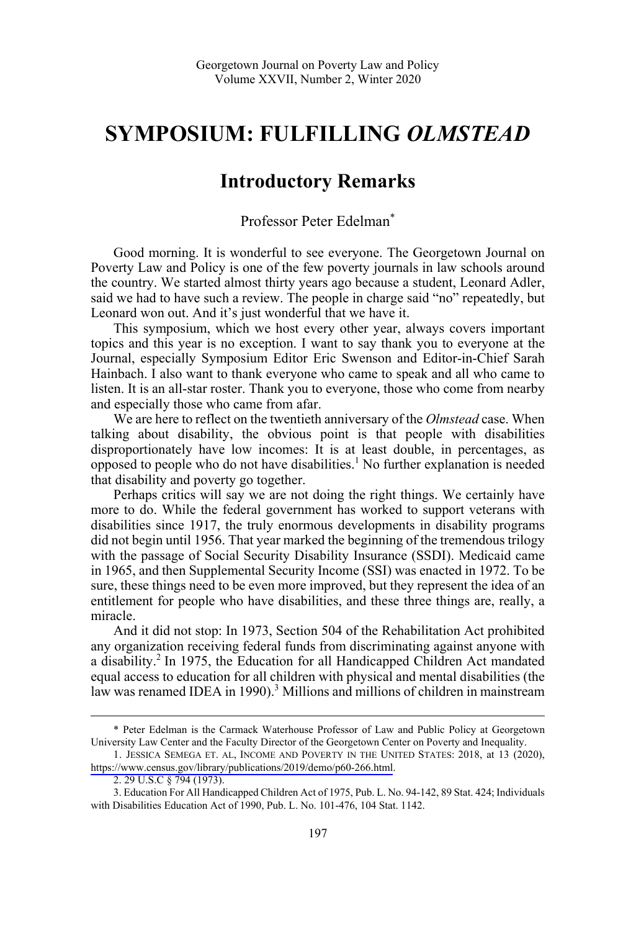## **SYMPOSIUM: FULFILLING** *OLMSTEAD*

## **Introductory Remarks**

Professor Peter Edelman\*

Good morning. It is wonderful to see everyone. The Georgetown Journal on Poverty Law and Policy is one of the few poverty journals in law schools around the country. We started almost thirty years ago because a student, Leonard Adler, said we had to have such a review. The people in charge said "no" repeatedly, but Leonard won out. And it's just wonderful that we have it.

This symposium, which we host every other year, always covers important topics and this year is no exception. I want to say thank you to everyone at the Journal, especially Symposium Editor Eric Swenson and Editor-in-Chief Sarah Hainbach. I also want to thank everyone who came to speak and all who came to listen. It is an all-star roster. Thank you to everyone, those who come from nearby and especially those who came from afar.

We are here to reflect on the twentieth anniversary of the *Olmstead* case. When talking about disability, the obvious point is that people with disabilities disproportionately have low incomes: It is at least double, in percentages, as opposed to people who do not have disabilities.<sup>1</sup> No further explanation is needed that disability and poverty go together.

Perhaps critics will say we are not doing the right things. We certainly have more to do. While the federal government has worked to support veterans with disabilities since 1917, the truly enormous developments in disability programs did not begin until 1956. That year marked the beginning of the tremendous trilogy with the passage of Social Security Disability Insurance (SSDI). Medicaid came in 1965, and then Supplemental Security Income (SSI) was enacted in 1972. To be sure, these things need to be even more improved, but they represent the idea of an entitlement for people who have disabilities, and these three things are, really, a miracle.

And it did not stop: In 1973, Section 504 of the Rehabilitation Act prohibited any organization receiving federal funds from discriminating against anyone with a disability.<sup>2</sup> In 1975, the Education for all Handicapped Children Act mandated equal access to education for all children with physical and mental disabilities (the law was renamed IDEA in 1990).<sup>3</sup> Millions and millions of children in mainstream

 $\overline{a}$ 

 <sup>\*</sup> Peter Edelman is the Carmack Waterhouse Professor of Law and Public Policy at Georgetown University Law Center and the Faculty Director of the Georgetown Center on Poverty and Inequality.

<sup>1.</sup> JESSICA SEMEGA ET. AL, INCOME AND POVERTY IN THE UNITED STATES: 2018, at 13 (2020), [https://www.census.gov/library/publications/2019/demo/p60-266.html.](https://www.census.gov/library/publications/2019/demo/p60-266.html)

<sup>2. 29</sup> U.S.C § 794 (1973).

<sup>3.</sup> Education For All Handicapped Children Act of 1975, Pub. L. No. 94-142, 89 Stat. 424; Individuals with Disabilities Education Act of 1990, Pub. L. No. 101-476, 104 Stat. 1142.